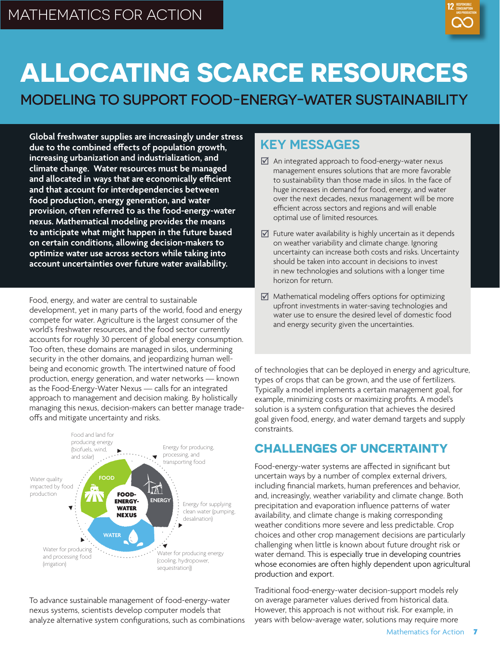

# **ALLOCATING SCARCE RESOURCES**

MODELING TO SUPPORT FOOD-ENERGY-WATER SUSTAINABILITY

**Global freshwater supplies are increasingly under stress due to the combined effects of population growth, increasing urbanization and industrialization, and climate change. Water resources must be managed and allocated in ways that are economically efficient and that account for interdependencies between food production, energy generation, and water provision, often referred to as the food-energy-water nexus. Mathematical modeling provides the means to anticipate what might happen in the future based on certain conditions, allowing decision-makers to optimize water use across sectors while taking into account uncertainties over future water availability.**

Food, energy, and water are central to sustainable development, yet in many parts of the world, food and energy compete for water. Agriculture is the largest consumer of the world's freshwater resources, and the food sector currently accounts for roughly 30 percent of global energy consumption. Too often, these domains are managed in silos, undermining security in the other domains, and jeopardizing human wellbeing and economic growth. The intertwined nature of food production, energy generation, and water networks — known as the Food-Energy-Water Nexus — calls for an integrated approach to management and decision making. By holistically managing this nexus, decision-makers can better manage tradeoffs and mitigate uncertainty and risks.



To advance sustainable management of food-energy-water nexus systems, scientists develop computer models that analyze alternative system configurations, such as combinations

## **KEY MESSAGES**

- $\triangledown$  An integrated approach to food-energy-water nexus management ensures solutions that are more favorable to sustainability than those made in silos. In the face of huge increases in demand for food, energy, and water over the next decades, nexus management will be more efficient across sectors and regions and will enable optimal use of limited resources.
- $\mathbf{\nabla}$  Future water availability is highly uncertain as it depends on weather variability and climate change. Ignoring uncertainty can increase both costs and risks. Uncertainty should be taken into account in decisions to invest in new technologies and solutions with a longer time horizon for return.
- $\boxtimes$  Mathematical modeling offers options for optimizing upfront investments in water-saving technologies and water use to ensure the desired level of domestic food and energy security given the uncertainties.

of technologies that can be deployed in energy and agriculture, types of crops that can be grown, and the use of fertilizers. Typically a model implements a certain management goal, for example, minimizing costs or maximizing profits. A model's solution is a system configuration that achieves the desired goal given food, energy, and water demand targets and supply constraints.

### **CHALLENGES OF UNCERTAINTY**

Food-energy-water systems are affected in significant but uncertain ways by a number of complex external drivers, including financial markets, human preferences and behavior, and, increasingly, weather variability and climate change. Both precipitation and evaporation influence patterns of water availability, and climate change is making corresponding weather conditions more severe and less predictable. Crop choices and other crop management decisions are particularly challenging when little is known about future drought risk or water demand. This is especially true in developing countries whose economies are often highly dependent upon agricultural production and export.

Traditional food-energy-water decision-support models rely on average parameter values derived from historical data. However, this approach is not without risk. For example, in years with below-average water, solutions may require more